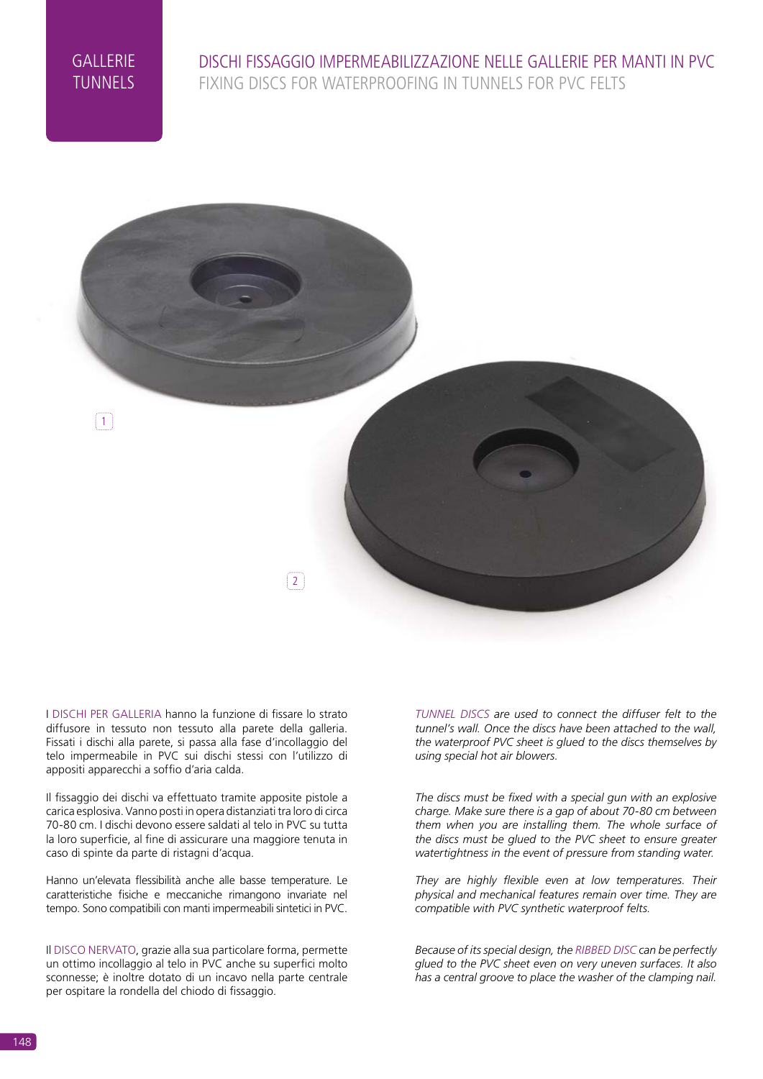#### GALLERIE TUNNELS

## DISCHI FISSAGGIO IMPERMEABILIZZAZIONE NELLE GALLERIE PER MANTI IN PVC FIXING DISCS FOR WATERPROOFING IN TUNNELS FOR PVC FELTS



I DISCHI PER GALLERIA hanno la funzione di fissare lo strato diffusore in tessuto non tessuto alla parete della galleria. Fissati i dischi alla parete, si passa alla fase d'incollaggio del telo impermeabile in PVC sui dischi stessi con l'utilizzo di appositi apparecchi a soffio d'aria calda.

Il fissaggio dei dischi va effettuato tramite apposite pistole a carica esplosiva. Vanno posti in opera distanziati tra loro di circa 70-80 cm. I dischi devono essere saldati al telo in PVC su tutta la loro superficie, al fine di assicurare una maggiore tenuta in caso di spinte da parte di ristagni d'acqua.

Hanno un'elevata flessibilità anche alle basse temperature. Le caratteristiche fisiche e meccaniche rimangono invariate nel tempo. Sono compatibili con manti impermeabili sintetici in PVC.

Il DISCO NERVATO, grazie alla sua particolare forma, permette un ottimo incollaggio al telo in PVC anche su superfici molto sconnesse; è inoltre dotato di un incavo nella parte centrale per ospitare la rondella del chiodo di fissaggio.

*TUNNEL DISCS are used to connect the diffuser felt to the tunnel's wall. Once the discs have been attached to the wall, the waterproof PVC sheet is glued to the discs themselves by using special hot air blowers.*

*The discs must be fixed with a special gun with an explosive charge. Make sure there is a gap of about 70-80 cm between them when you are installing them. The whole surface of the discs must be glued to the PVC sheet to ensure greater watertightness in the event of pressure from standing water.*

*They are highly flexible even at low temperatures. Their physical and mechanical features remain over time. They are compatible with PVC synthetic waterproof felts.*

*Because of its special design, the RIBBED DISC can be perfectly glued to the PVC sheet even on very uneven surfaces. It also has a central groove to place the washer of the clamping nail.*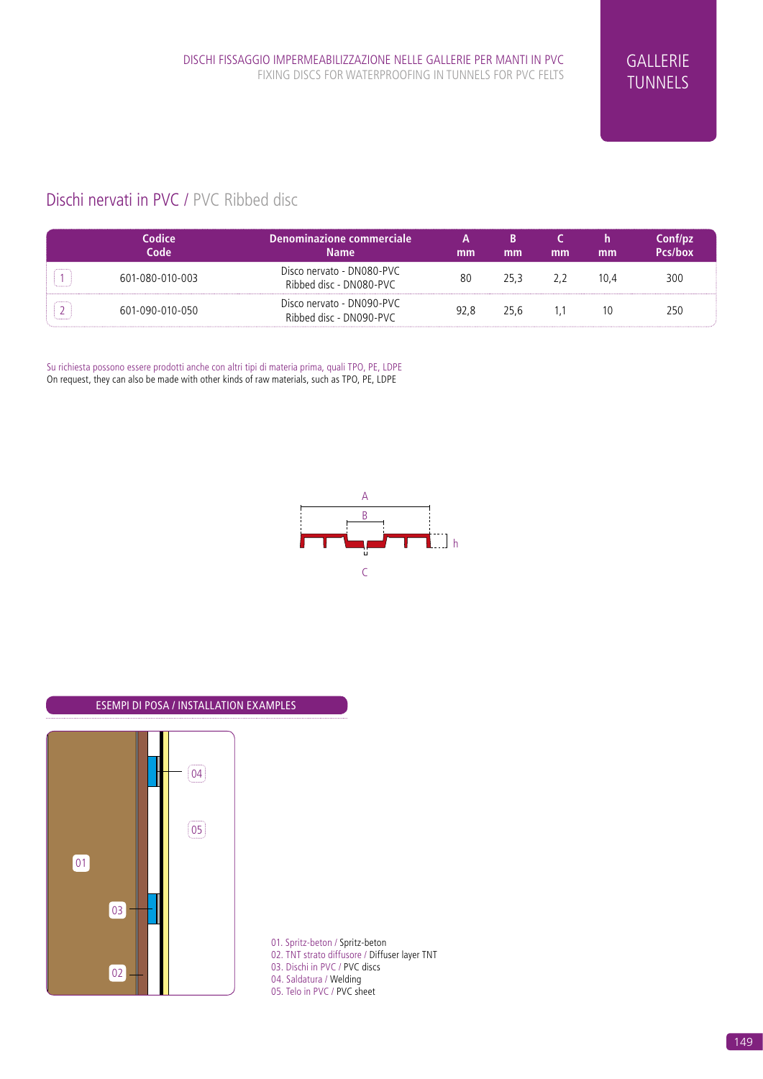

# Dischi nervati in PVC / PVC Ribbed disc

| Codice<br>Code  | Denominazione commerciale<br>Name                    | mm   | mm   | mm | mm   | Conf/pz<br>Pcs/box |
|-----------------|------------------------------------------------------|------|------|----|------|--------------------|
| 601-080-010-003 | Disco nervato - DN080-PVC<br>Ribbed disc - DN080-PVC | 80   | 25.3 |    | 10.4 | 300                |
| 601-090-010-050 | Disco nervato - DN090-PVC<br>Ribbed disc - DN090-PVC | 92.8 | 25.6 |    |      | 250                |

Su richiesta possono essere prodotti anche con altri tipi di materia prima, quali TPO, PE, LDPE On request, they can also be made with other kinds of raw materials, such as TPO, PE, LDPE





01. Spritz-beton / Spritz-beton 02. TNT strato diffusore / Diffuser layer TNT 03. Dischi in PVC / PVC discs

04. Saldatura / Welding

05. Telo in PVC / PVC sheet

#### PARTICOLARI / [[INGLESE]]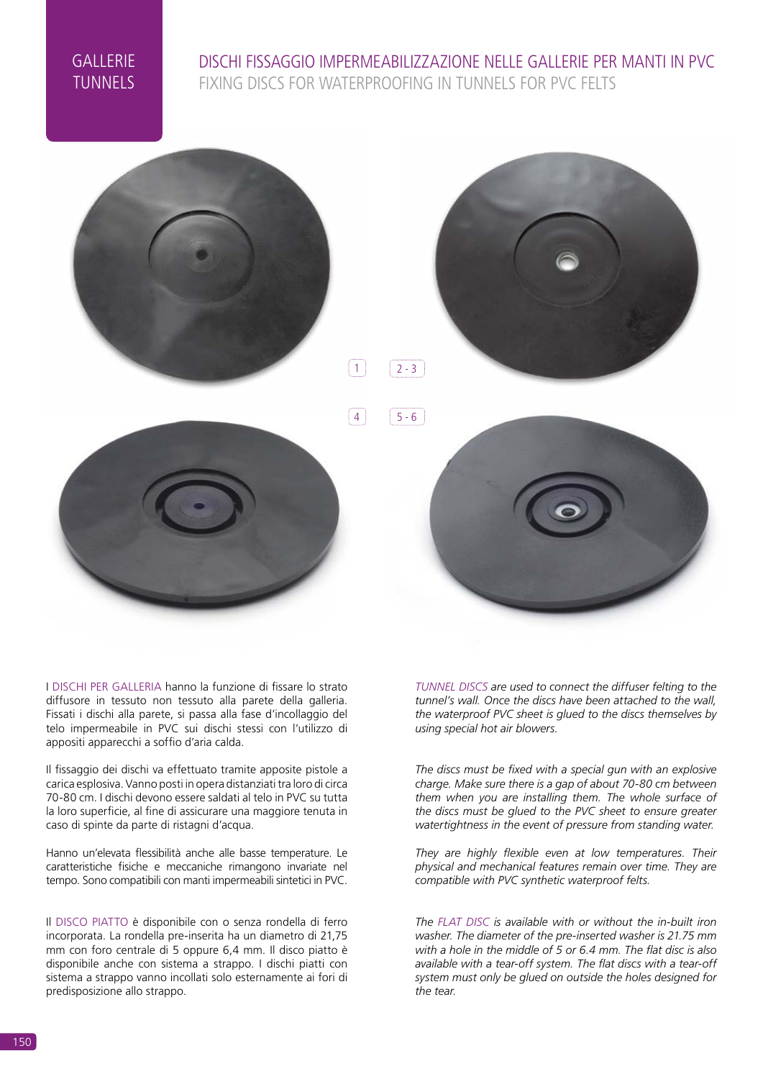#### GALLERIE TUNNELS

### DISCHI FISSAGGIO IMPERMEABILIZZAZIONE NELLE GALLERIE PER MANTI IN PVC FIXING DISCS FOR WATERPROOFING IN TUNNELS FOR PVC FELTS









I DISCHI PER GALLERIA hanno la funzione di fissare lo strato diffusore in tessuto non tessuto alla parete della galleria. Fissati i dischi alla parete, si passa alla fase d'incollaggio del telo impermeabile in PVC sui dischi stessi con l'utilizzo di appositi apparecchi a soffio d'aria calda.

Il fissaggio dei dischi va effettuato tramite apposite pistole a carica esplosiva. Vanno posti in opera distanziati tra loro di circa 70-80 cm. I dischi devono essere saldati al telo in PVC su tutta la loro superficie, al fine di assicurare una maggiore tenuta in caso di spinte da parte di ristagni d'acqua.

Hanno un'elevata flessibilità anche alle basse temperature. Le caratteristiche fisiche e meccaniche rimangono invariate nel tempo. Sono compatibili con manti impermeabili sintetici in PVC.

Il DISCO PIATTO è disponibile con o senza rondella di ferro incorporata. La rondella pre-inserita ha un diametro di 21,75 mm con foro centrale di 5 oppure 6,4 mm. Il disco piatto è disponibile anche con sistema a strappo. I dischi piatti con sistema a strappo vanno incollati solo esternamente ai fori di predisposizione allo strappo.

*TUNNEL DISCS are used to connect the diffuser felting to the tunnel's wall. Once the discs have been attached to the wall, the waterproof PVC sheet is glued to the discs themselves by using special hot air blowers.*

*The discs must be fixed with a special gun with an explosive charge. Make sure there is a gap of about 70-80 cm between them when you are installing them. The whole surface of the discs must be glued to the PVC sheet to ensure greater watertightness in the event of pressure from standing water.*

*They are highly flexible even at low temperatures. Their physical and mechanical features remain over time. They are compatible with PVC synthetic waterproof felts.*

*The FLAT DISC is available with or without the in-built iron washer. The diameter of the pre-inserted washer is 21.75 mm with a hole in the middle of 5 or 6.4 mm. The flat disc is also available with a tear-off system. The flat discs with a tear-off system must only be glued on outside the holes designed for the tear.*